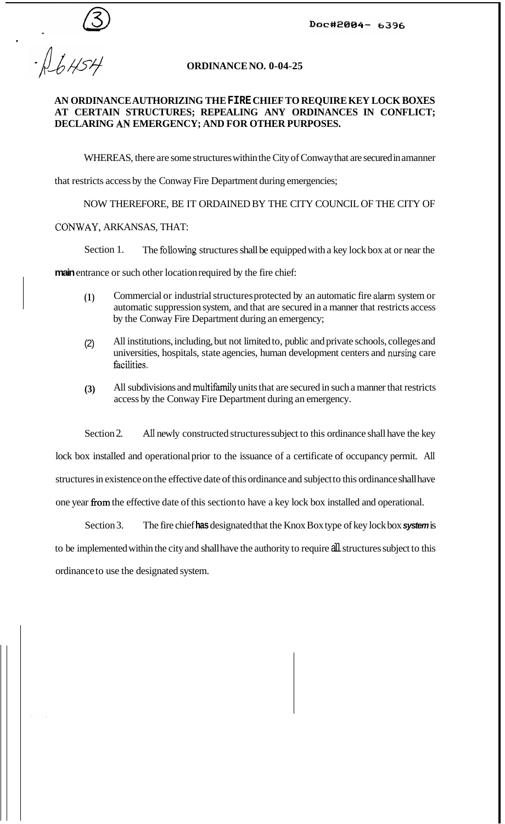Doc#2004- 6396

 $-16454$ 

## **ORDINANCE NO. 0-04-25**

## **AN ORDINANCE AUTHORIZING THE FIRE CHIEF TO REQUIRE KEY LOCK BOXES AT CERTAIN STRUCTURES; REPEALING ANY ORDINANCES IN CONFLICT; DECLARING** *AN* **EMERGENCY; AND FOR OTHER PURPOSES.**

WHEREAS, there are some structures within the City of Conway that are secured in amanner

that restricts access by the Conway Fire Department during emergencies;

NOW THEREFORE, BE IT ORDAINED BY THE CITY COUNCIL OF THE CITY OF

CONWAY, ARKANSAS, THAT:

Section 1. The following structures shall be equipped with a key lock box at or near the

**main** entrance or such other location required by the fire chief:

- **(1)** Commercial or industrial structures protected by an automatic fire *alm* system or automatic suppression system, and that are secured in a manner that restricts access by the Conway Fire Department during an emergency;
- (2) All institutions, including, but not limited to, public and private schools, colleges and universities, hospitals, state agencies, human development centers and nursing care facilities.
- **(3)** All subdivisions and multifamily units that are secured in such a manner that restricts access by the Conway Fire Department during an emergency.

Section 2. All newly constructed structures subject to this ordinance shall have the key

lock box installed and operational prior to the issuance of a certificate of occupancy permit. All structures in existence on the effective date of this ordinance and subject to this ordinance shall have one year from the effective date of this section to have a key lock box installed and operational.

Section 3. The fire chief **has** designated that the Knox Box type of key lock box *system* is to be implemented within the city and shall have the authority to require all structures subject to this ordinance to use the designated system.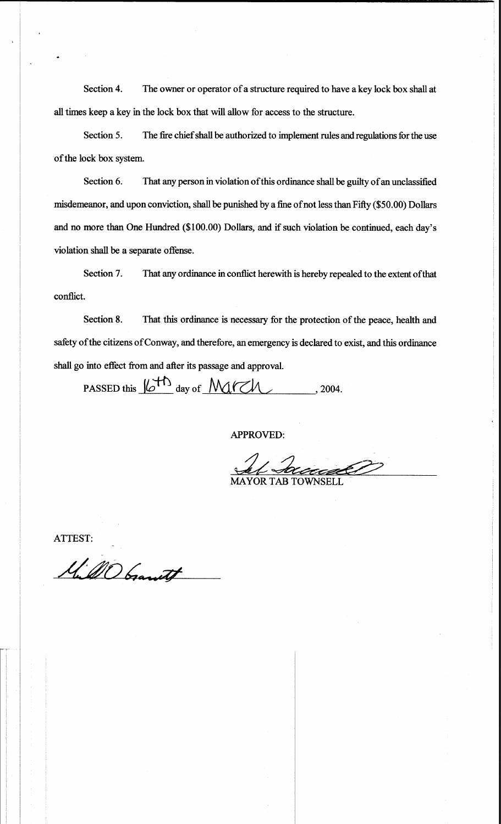Section 4. The owner or operator of a structure required to have a key lock box shall at all times keep a key in the lock box that will allow for access to the structure.

Section 5. The fire chief shall be authorized to implement rules and regulations for the use of the lock box system.

Section 6. That any person in violation of this ordinance shall be guilty of an unclassified misdemeanor, and upon conviction, shall be punished by a fine of not less than Fifty (\$50.00) Dollars and no more than One Hundred (\$100.00) Dollars, and if such violation be continued, each day's violation shall be a separate offense.

Section 7. That any ordinance in conflict herewith is hereby repealed to the extent of that conflict.

Section 8. That this ordinance is necessary for the protection of the peace, health and safety of the citizens of Conway, and therefore, an emergency is declared to exist, and this ordinance shall go into effect from and after its passage and approval.

PASSED this  $16^{+1}$  day of March . 2004.

**APPROVED:** 

**MAYOR TAB TOWNSELI** 

ATTEST:

M. MO Gamet